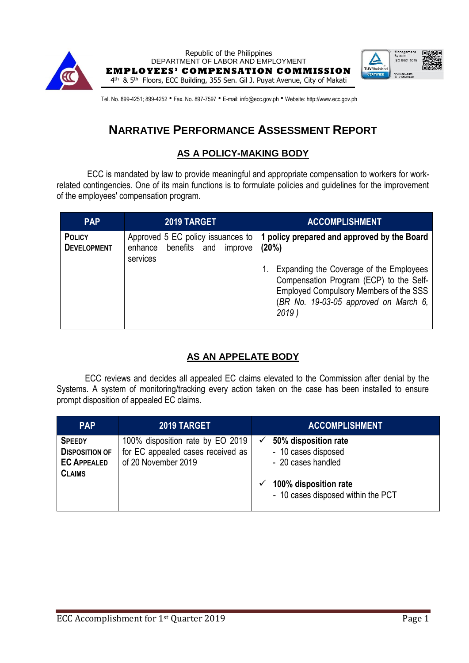

Republic of the Philippines DEPARTMENT OF LABOR AND EMPLOYMENT **EMPLOYEES' COMPENSATION COMMISSION** 4<sup>th</sup> & 5<sup>th</sup> Floors, ECC Building, 355 Sen. Gil J. Puyat Avenue, City of Makati



Tel. No. 899-4251; 899-4252 · Fax. No. 897-7597 · E-mail: info@ecc.gov.ph · Website: http://www.ecc.gov.ph

# **NARRATIVE PERFORMANCE ASSESSMENT REPORT**

### **AS A POLICY-MAKING BODY**

ECC is mandated by law to provide meaningful and appropriate compensation to workers for workrelated contingencies. One of its main functions is to formulate policies and guidelines for the improvement of the employees' compensation program.

| <b>PAP</b>                          | 2019 TARGET                                                                         | <b>ACCOMPLISHMENT</b>                                                                                                                                                                                                                     |
|-------------------------------------|-------------------------------------------------------------------------------------|-------------------------------------------------------------------------------------------------------------------------------------------------------------------------------------------------------------------------------------------|
| <b>POLICY</b><br><b>DEVELOPMENT</b> | Approved 5 EC policy issuances to<br>benefits and<br>improve<br>enhance<br>services | 1 policy prepared and approved by the Board<br>(20%)<br>Expanding the Coverage of the Employees<br>Compensation Program (ECP) to the Self-<br>Employed Compulsory Members of the SSS<br>(BR No. 19-03-05 approved on March 6,<br>$2019$ ) |

## **AS AN APPELATE BODY**

ECC reviews and decides all appealed EC claims elevated to the Commission after denial by the Systems. A system of monitoring/tracking every action taken on the case has been installed to ensure prompt disposition of appealed EC claims.

| <b>PAP</b>                                                                    | 2019 TARGET                                                                                  | <b>ACCOMPLISHMENT</b>                                                                                                            |
|-------------------------------------------------------------------------------|----------------------------------------------------------------------------------------------|----------------------------------------------------------------------------------------------------------------------------------|
| <b>SPEEDY</b><br><b>DISPOSITION OF</b><br><b>EC APPEALED</b><br><b>CLAIMS</b> | 100% disposition rate by EO 2019<br>for EC appealed cases received as<br>of 20 November 2019 | 50% disposition rate<br>- 10 cases disposed<br>- 20 cases handled<br>100% disposition rate<br>- 10 cases disposed within the PCT |